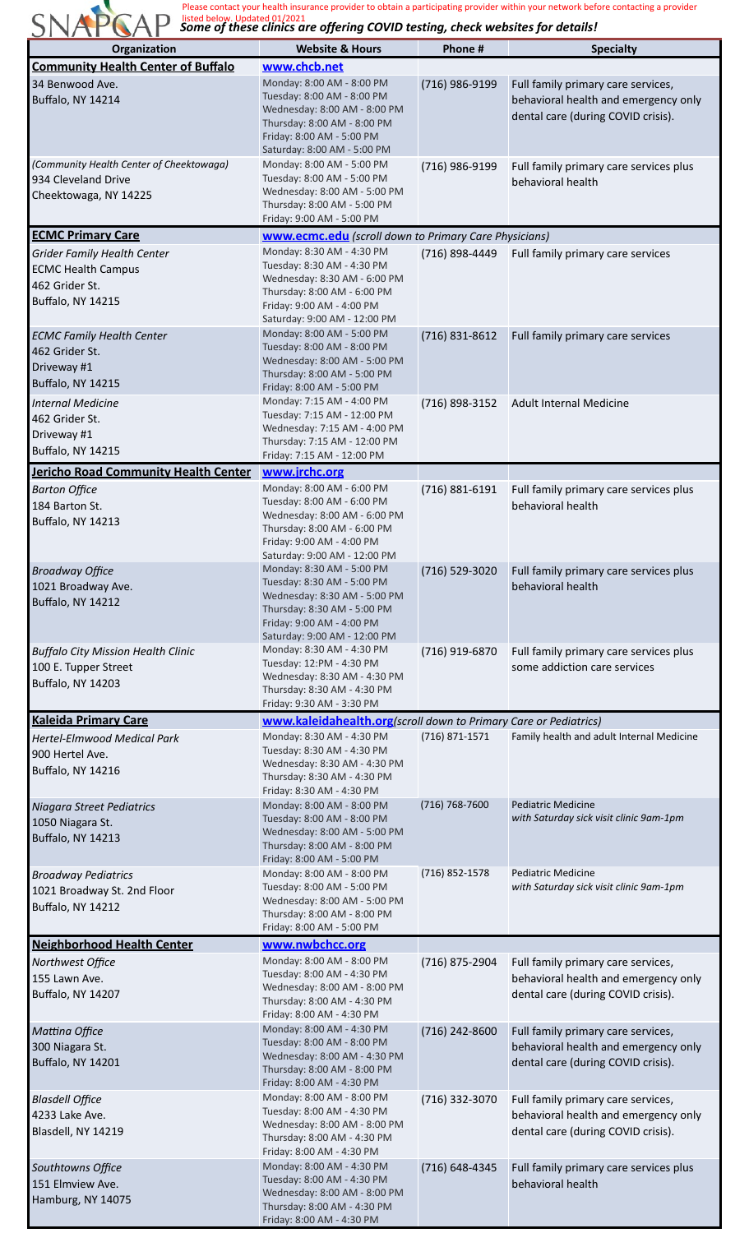Some of these clinics are offering COVID testing, check websites for details! Please contact your health insurance provider to obtain a participating provider within your network before contacting a provider listed below. Updated 01/2021

| Organization                                                                                                  | <b>Website &amp; Hours</b>                                                                                                                                                          | Phone #            | <b>Specialty</b>                                                                                                 |
|---------------------------------------------------------------------------------------------------------------|-------------------------------------------------------------------------------------------------------------------------------------------------------------------------------------|--------------------|------------------------------------------------------------------------------------------------------------------|
| <b>Community Health Center of Buffalo</b>                                                                     | www.chcb.net                                                                                                                                                                        |                    |                                                                                                                  |
| 34 Benwood Ave.<br><b>Buffalo, NY 14214</b>                                                                   | Monday: 8:00 AM - 8:00 PM<br>Tuesday: 8:00 AM - 8:00 PM<br>Wednesday: 8:00 AM - 8:00 PM<br>Thursday: 8:00 AM - 8:00 PM<br>Friday: 8:00 AM - 5:00 PM<br>Saturday: 8:00 AM - 5:00 PM  | (716) 986-9199     | Full family primary care services,<br>behavioral health and emergency only<br>dental care (during COVID crisis). |
| (Community Health Center of Cheektowaga)<br>934 Cleveland Drive<br>Cheektowaga, NY 14225                      | Monday: 8:00 AM - 5:00 PM<br>Tuesday: 8:00 AM - 5:00 PM<br>Wednesday: 8:00 AM - 5:00 PM<br>Thursday: 8:00 AM - 5:00 PM<br>Friday: 9:00 AM - 5:00 PM                                 | (716) 986-9199     | Full family primary care services plus<br>behavioral health                                                      |
| <b>ECMC Primary Care</b>                                                                                      | <b>www.ecmc.edu</b> (scroll down to Primary Care Physicians)                                                                                                                        |                    |                                                                                                                  |
| <b>Grider Family Health Center</b><br><b>ECMC Health Campus</b><br>462 Grider St.<br><b>Buffalo, NY 14215</b> | Monday: 8:30 AM - 4:30 PM<br>Tuesday: 8:30 AM - 4:30 PM<br>Wednesday: 8:30 AM - 6:00 PM<br>Thursday: 8:00 AM - 6:00 PM<br>Friday: 9:00 AM - 4:00 PM<br>Saturday: 9:00 AM - 12:00 PM | (716) 898-4449     | Full family primary care services                                                                                |
| <b>ECMC Family Health Center</b><br>462 Grider St.<br>Driveway #1<br><b>Buffalo, NY 14215</b>                 | Monday: 8:00 AM - 5:00 PM<br>Tuesday: 8:00 AM - 8:00 PM<br>Wednesday: 8:00 AM - 5:00 PM<br>Thursday: 8:00 AM - 5:00 PM<br>Friday: 8:00 AM - 5:00 PM                                 | $(716)$ 831-8612   | Full family primary care services                                                                                |
| <b>Internal Medicine</b><br>462 Grider St.<br>Driveway #1<br><b>Buffalo, NY 14215</b>                         | Monday: 7:15 AM - 4:00 PM<br>Tuesday: 7:15 AM - 12:00 PM<br>Wednesday: 7:15 AM - 4:00 PM<br>Thursday: 7:15 AM - 12:00 PM<br>Friday: 7:15 AM - 12:00 PM                              | (716) 898-3152     | Adult Internal Medicine                                                                                          |
| <b>Jericho Road Community Health Center</b>                                                                   | www.jrchc.org                                                                                                                                                                       |                    |                                                                                                                  |
| <b>Barton Office</b><br>184 Barton St.<br><b>Buffalo, NY 14213</b>                                            | Monday: 8:00 AM - 6:00 PM<br>Tuesday: 8:00 AM - 6:00 PM<br>Wednesday: 8:00 AM - 6:00 PM<br>Thursday: 8:00 AM - 6:00 PM<br>Friday: 9:00 AM - 4:00 PM<br>Saturday: 9:00 AM - 12:00 PM | $(716) 881 - 6191$ | Full family primary care services plus<br>behavioral health                                                      |
| <b>Broadway Office</b><br>1021 Broadway Ave.<br><b>Buffalo, NY 14212</b>                                      | Monday: 8:30 AM - 5:00 PM<br>Tuesday: 8:30 AM - 5:00 PM<br>Wednesday: 8:30 AM - 5:00 PM<br>Thursday: 8:30 AM - 5:00 PM<br>Friday: 9:00 AM - 4:00 PM<br>Saturday: 9:00 AM - 12:00 PM | (716) 529-3020     | Full family primary care services plus<br>behavioral health                                                      |
| <b>Buffalo City Mission Health Clinic</b><br>100 E. Tupper Street<br>Buffalo, NY 14203                        | Monday: 8:30 AM - 4:30 PM<br>Tuesday: 12:PM - 4:30 PM<br>Wednesday: 8:30 AM - 4:30 PM<br>Thursday: 8:30 AM - 4:30 PM<br>Friday: 9:30 AM - 3:30 PM                                   | (716) 919-6870     | Full family primary care services plus<br>some addiction care services                                           |
| <b>Kaleida Primary Care</b>                                                                                   | www.kaleidahealth.org (scroll down to Primary Care or Pediatrics)                                                                                                                   |                    |                                                                                                                  |
| <b>Hertel-Elmwood Medical Park</b><br>900 Hertel Ave.<br><b>Buffalo, NY 14216</b>                             | Monday: 8:30 AM - 4:30 PM<br>Tuesday: 8:30 AM - 4:30 PM<br>Wednesday: 8:30 AM - 4:30 PM<br>Thursday: 8:30 AM - 4:30 PM<br>Friday: 8:30 AM - 4:30 PM                                 | $(716)$ 871-1571   | Family health and adult Internal Medicine                                                                        |
| Niagara Street Pediatrics<br>1050 Niagara St.<br>Buffalo, NY 14213                                            | Monday: 8:00 AM - 8:00 PM<br>Tuesday: 8:00 AM - 8:00 PM<br>Wednesday: 8:00 AM - 5:00 PM<br>Thursday: 8:00 AM - 8:00 PM<br>Friday: 8:00 AM - 5:00 PM                                 | $(716) 768 - 7600$ | <b>Pediatric Medicine</b><br>with Saturday sick visit clinic 9am-1pm                                             |
| <b>Broadway Pediatrics</b><br>1021 Broadway St. 2nd Floor<br><b>Buffalo, NY 14212</b>                         | Monday: 8:00 AM - 8:00 PM<br>Tuesday: 8:00 AM - 5:00 PM<br>Wednesday: 8:00 AM - 5:00 PM<br>Thursday: 8:00 AM - 8:00 PM<br>Friday: 8:00 AM - 5:00 PM                                 | (716) 852-1578     | <b>Pediatric Medicine</b><br>with Saturday sick visit clinic 9am-1pm                                             |
| <b>Neighborhood Health Center</b>                                                                             | www.nwbchcc.org                                                                                                                                                                     |                    |                                                                                                                  |
| Northwest Office<br>155 Lawn Ave.<br>Buffalo, NY 14207                                                        | Monday: 8:00 AM - 8:00 PM<br>Tuesday: 8:00 AM - 4:30 PM<br>Wednesday: 8:00 AM - 8:00 PM<br>Thursday: 8:00 AM - 4:30 PM<br>Friday: 8:00 AM - 4:30 PM                                 | (716) 875-2904     | Full family primary care services,<br>behavioral health and emergency only<br>dental care (during COVID crisis). |
| Mattina Office<br>300 Niagara St.<br><b>Buffalo, NY 14201</b>                                                 | Monday: 8:00 AM - 4:30 PM<br>Tuesday: 8:00 AM - 8:00 PM<br>Wednesday: 8:00 AM - 4:30 PM<br>Thursday: 8:00 AM - 8:00 PM<br>Friday: 8:00 AM - 4:30 PM                                 | (716) 242-8600     | Full family primary care services,<br>behavioral health and emergency only<br>dental care (during COVID crisis). |
| <b>Blasdell Office</b><br>4233 Lake Ave.<br>Blasdell, NY 14219                                                | Monday: 8:00 AM - 8:00 PM<br>Tuesday: 8:00 AM - 4:30 PM<br>Wednesday: 8:00 AM - 8:00 PM<br>Thursday: 8:00 AM - 4:30 PM<br>Friday: 8:00 AM - 4:30 PM                                 | (716) 332-3070     | Full family primary care services,<br>behavioral health and emergency only<br>dental care (during COVID crisis). |
| Southtowns Office<br>151 Elmview Ave.<br>Hamburg, NY 14075                                                    | Monday: 8:00 AM - 4:30 PM<br>Tuesday: 8:00 AM - 4:30 PM<br>Wednesday: 8:00 AM - 8:00 PM<br>Thursday: 8:00 AM - 4:30 PM<br>Friday: 8:00 AM - 4:30 PM                                 | (716) 648-4345     | Full family primary care services plus<br>behavioral health                                                      |